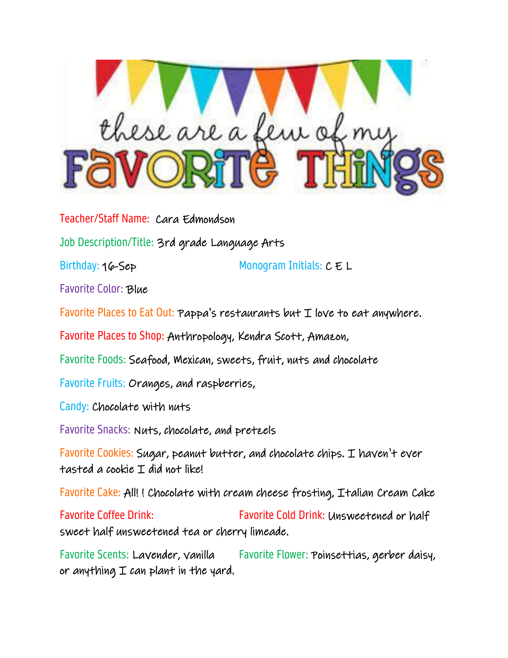

Teacher/Staff Name: Cara Edmondson

Job Description/Title: 3rd grade Language Arts

Birthday: 16-Sep Monogram Initials:  $C \n\in L$ 

Favorite Color: Blue

Favorite Places to Eat Out: Pappa's restaurants but  $I$  love to eat anywhere.

Favorite Places to Shop: Anthropology, Kendra Scott, Amazon,

Favorite Foods: Seafood, Mexican, sweets, fruit, nuts and chocolate

Favorite Fruits: Oranges, and raspberries,

Candy: Chocolate with nuts

Favorite Snacks: Nuts, chocolate, and pretzels

Favorite Cookies: Sugar, peanut butter, and chocolate chips. I haven't ever tasted a cookie I did not like!

Favorite Cake: All! ! Chocolate with cream cheese frosting, Italian Cream Cake

Favorite Coffee Drink: Favorite Cold Drink: Unsweetened or half sweet half unsweetened tea or cherry limeade.

Favorite Scents: Lavender, vanilla Favorite Flower: Poinsettias, gerber daisy, or anything  $I$  can plant in the yard.